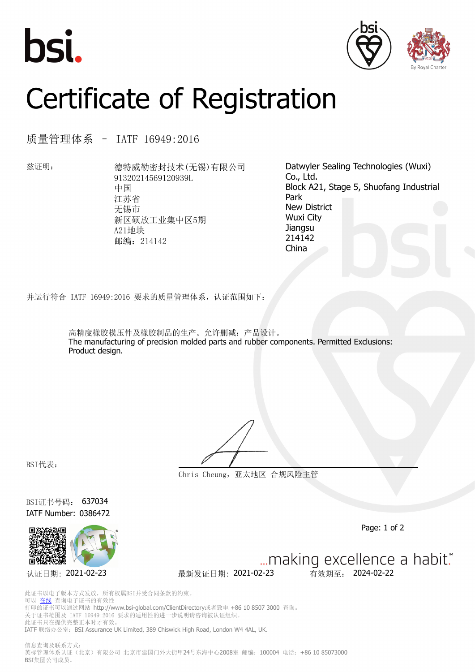





## Certificate of Registration

质量管理体系 – IATF 16949:2016

兹证明: 海特威勒密封技术(无锡)有限公司 91320214569120939L 中国 江苏省 无锡市 新区硕放工业集中区5期 A21地块 邮编:214142

Datwyler Sealing Technologies (Wuxi) Co., Ltd. Block A21, Stage 5, Shuofang Industrial Park New District Wuxi City **Jiangsu** 214142 China

并运行符合 IATF 16949:2016 要求的质量管理体系,认证范围如下:

高精度橡胶模压件及橡胶制品的生产。允许删减:产品设计。 The manufacturing of precision molded parts and rubber components. Permitted Exclusions: Product design.

BSI代表:

**Chris Cheung,亚太地区 合规风险主管**

BSI证书号码: 637034 IATF Number: 0386472



Page: 1 of 2

... making excellence a habit." 认证日期: 2021-02-23 最新发证日期: 2021-02-23 有效期至: 2024-02-22

此证书以电子版本方式发放,所有权属BSI并受合同条款的约束。 可以 [在线](https://pgplus.bsigroup.com/CertificateValidation/CertificateValidator.aspx?CertificateNumber=637034&ReIssueDate=23%2f02%2f2021&Template=cn) 查询电子证书的有效性 打印的证书可以通过网站 http://www.bsi-global.com/ClientDirectory或者致电 +86 10 8507 3000 查询。 关于证书范围及 IATF 16949:2016 要求的适用性的进一步说明请咨询被认证组织。 此证书只在提供完整正本时才有效。 IATF 联络办公室: BSI Assurance UK Limited, 389 Chiswick High Road, London W4 4AL, UK.